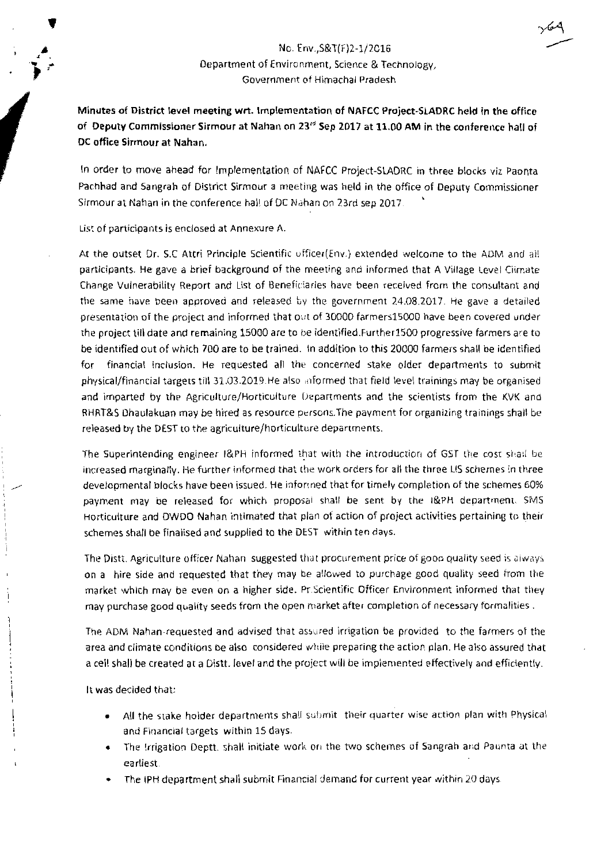## $\blacksquare$ <br>No. Env., S&T(F)2-1/2016 Department of Environment, Science & Technology, Government of Himachal Pradesh

Minutes of District level meeting wrt. Implementation of NAFCC Project-SLADRC held in the office of Deputy Commissioner Sirmour at Nahan on 23<sup>rd</sup> Sep 2017 at 11.00 AM in the conference hall of DC office Sirmour at Nahan.

In order to move ahead for Implementation of NAFCC Project-SLADRC in three blocks viz Paonta Pachhad and Sangrah of District Sirmour a meeting was held in the office of Deputy Commissioner Sirmour at Nahan in the conference hall of DC Nahan on 23rd sep 2017.

List of participants is enclosed at Annexure A.

At the outset Dr. S.C Attri Principle Scientific officer(Env.) extended welcome to the ADM and all participants. He gave a brief background of the meeting and informed that A Village Level Climate Change Vulnerability Report and List of Beneficiaries have been received from the consultant and the same have been approved and released by the government 24.08.2017. He gave a detailed presentation of the project and informed that out of 30000 farmers15000 have been covered under the project till date and remaining 15000 are to be identified. Further 1500 progressive farmers are to be identified out of which 700 are to be trained. In addition to this 20000 farmers shall be identified for financial inclusion. He requested all the concerned stake older departments to submit physical/financial targets till 31.03.2019.He also informed that field level trainings may be organised and imparted by the Agriculture/Horticulture Departments and the scientists from the KVK and RHRT&S Dhaulakuan may be hired as resource persons.The payment for organizing trainings shall be released by the DEST to the agriculture/horticulture departments.

The Superintending engineer I&PH informed that with the introduction of GST the cost shall be increased marginally. He further informed that the work orders for all the three LIS schemes in three developmental blocks have been issued. He informed that for timely completion of the schemes 60% payment may be released for which proposal shall be sent by the l&PH department. SMS Horticulture and DWDO Nahan intimated that plan of action of project activities pertaining to their schemes shall be finalised and supplied to the DEST within ten days.

The Distt. Agriculture officer Nahan suggested that procurement price of good quality seed is always on a hire side and requested that they may be allowed to purchage good quality seed from the market which may be even on a higher side. Pr.Scientific Officer Environment informed that they may purchase good quality seeds from the open market after completion of necessary formalities.

The ADM Nahan requested and advised that assured irrigation be provided to the farmers of the area and climate conditions be also considered wtiile preparing the action plan. He also assured that a cell shall be created at a Distt. level and the project will be implemented effectively and efficiently.

It was decided that:

- All the stake holder departments shall submit their quarter wise action plan with Physical and Financial targets within 15 days.
- The Irrigation Oeptt. shall initiate work ori the two schemes of Sangrah and Paunta at the earliest.
- The !PH department shall submit Financial demand for current year within 20 days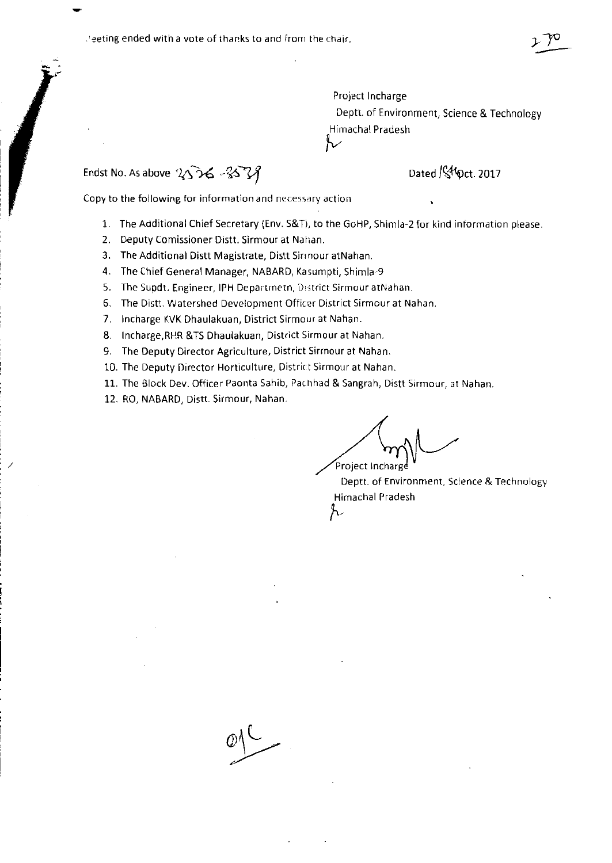.'eeting ended with a vote of thanks to and from the chair.

Project lncharge

Deptt. of Environment, Science & Technology Hirnachal Pradesh  $\overline{\mathcal{W}}$ 

## Endst No. As above ' $2\sqrt{6}$  - $3\sqrt{7}$  Dated / $\sqrt{4}$  Dated / $\sqrt{4}$  Dated / $\sqrt{2}$

Copy to the following for information and necessary action

- 1. The Additional Chief Secretary (Env. S&T), to the GoHP, Shimla-2 for kind information please.
- 2. Deputy Comissioner Distt. Sirmour at Nahan.
- 3. The Additional Distt Magistrate, Distt Sinnour atNahan.
- 4. The Chief General Manager, NABARD, Kasumpti, Shimla-9
- 5. The Supdt. Engineer, IPH Departrnetn, D;strict Sirmour atNahan.
- 6. The Distt. Watershed Development Officer District Sirmour at Nahan.
- 7. lncharge KVK Dhaulakuan, District Sirmour at Nahan.
- 8. Incharge, RHR & TS Dhaulakuan, District Sirmour at Nahan.
- 9. The Deputy Director Agriculture, District Sirmour at Nahan.
- 10. The Deputy Director Horticulture, District Sirmour at Nahan.
- 11. The Block Dev. Officer Paonta Sahib, Pachhad & Sangrah, Distt Sirmour, at Nahan.
- 12. RO, NABARD, Distt. Sirmour, Nahan.

/

Project Incharge Froject incharge<br>Deptt. of Environment, Science & Technology

Himachal Pradesh  $\lambda$